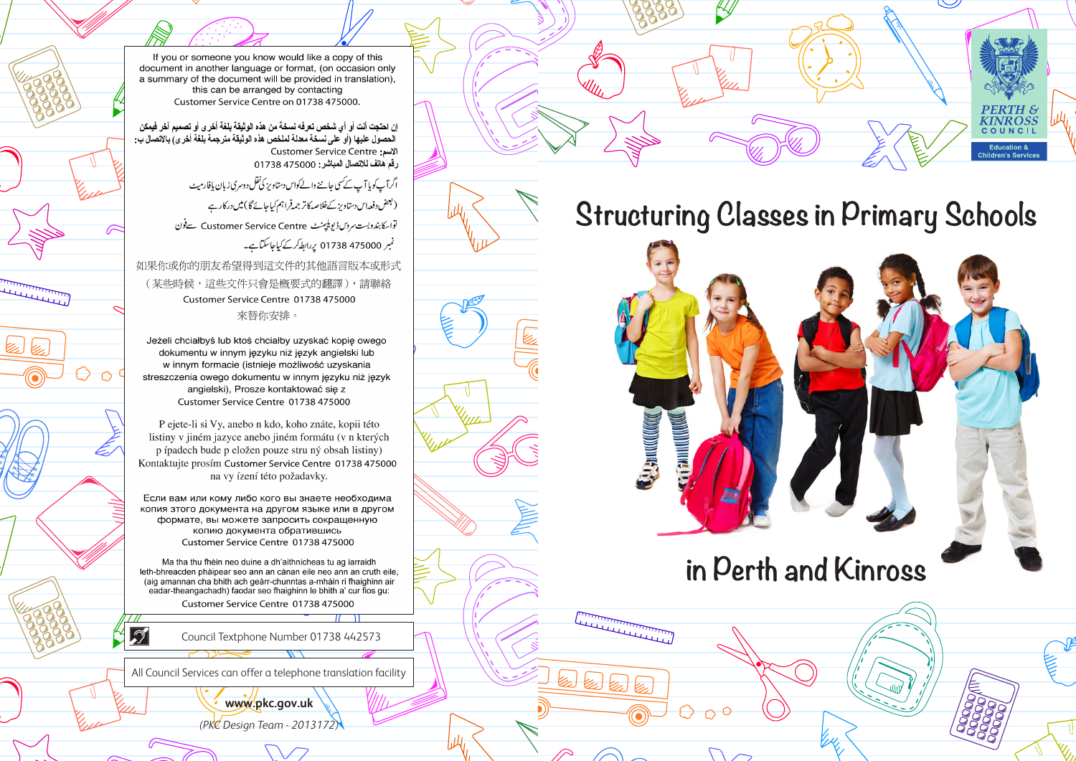If you or someone you know would like a copy of this document in another language or format. (on occasion only a summary of the document will be provided in translation). this can be arranged by contacting Customer Service Centre on 01738 475000.

إن احتجت أنت أو أي شخص تعرفه نسخة من هذه الوثيقة بلغة أخرى أو تصميم آخر فيمكن<br>الحصول عليها (أو على نسخة معللة لملخص هذه الوثيقة مترجمة بلغة أخرى) بالاتصال ب: الإسم: Customer Service Centre 

> اگرآپ کوپا آپ کے سی جاننے والےکواس دستاویز کی نقل دوسری زبان پافارمیٹ ( بعض دفعہ اس دستاویز کےخلاصہ کا تر جمہ فراہم کیاجائے گا ) میں درکار ہے تواسکا بندوبست سروس ڈیویلیمنٹ Customer Service Centre سےفون

نمبر 475000 01738 پردابطہ کرکے کیاجاسکتاہے۔

如果你或你的朋友希望得到這文件的其他語言版本或形式

(某些時候,這些文件只會是概要式的翻譯),請聯絡 Customer Service Centre 01738 475000 來替你安排。

personal de la partie de la partie de la partie de la partie de la partie de la partie de la partie de la par<br>Les parties de la partie de la partie de la partie de la partie de la partie de la partie de la partie de la p

Ł.

Jeżeli chciałbyś lub ktoś chciałby uzyskać kopie owego dokumentu w innym jezyku niż jezyk angielski lub w innym formacie (istnieje możliwość uzyskania streszczenia owego dokumentu w innym języku niż język angielski), Prosze kontaktować się z Customer Service Centre 01738 475000

P ejete-li si Vy, anebo n kdo, koho znáte, kopii této listiny v jiném jazyce anebo jiném formátu (v n kterých p ípadech bude p eložen pouze stru ný obsah listiny) Kontaktujte prosím Customer Service Centre 01738 475000 na vy ízení této požadavky.

Если вам или кому либо кого вы знаете необходима копия зтого документа на другом языке или в другом формате, вы можете запросить сокращенную копию документа обратившись Customer Service Centre 01738 475000

Ma tha thu fhèin neo duine a dh'aithnicheas tu ag iarraidh leth-bhreacden phàipear seo ann an cànan eile neo ann an cruth eile. (aig amannan cha bhith ach geàrr-chunntas a-mhàin ri fhaighinn air eadar-theangachadh) faodar seo fhaighinn le bhith a' cur fios gu:

Customer Service Centre 01738 475000

Council Textphone Number 01738 442573

All Council Services can offer a telephone translation facility

 $\mathcal{D}$ 

**www.pkc.gov.uk** *(PKC Design Team - 2013172)*



**KINROSS** 

COUNCIL

Children's Servic



# **in Perth and Kinross**

Little Little Little Little Little